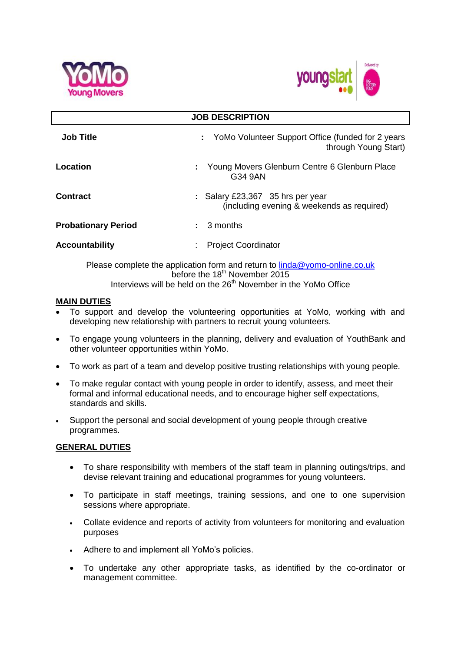



| <b>JOB DESCRIPTION</b>     |                                                                                     |
|----------------------------|-------------------------------------------------------------------------------------|
| <b>Job Title</b>           | : YoMo Volunteer Support Office (funded for 2 years<br>through Young Start)         |
| Location                   | Young Movers Glenburn Centre 6 Glenburn Place<br>G34 9AN                            |
| <b>Contract</b>            | : Salary £23,367 $\,$ 35 hrs per year<br>(including evening & weekends as required) |
| <b>Probationary Period</b> | 3 months                                                                            |
| <b>Accountability</b>      | <b>Project Coordinator</b>                                                          |

Please complete the application form and return to [linda@yomo-online.co.uk](mailto:linda@yomo-online.co.uk) before the 18<sup>th</sup> November 2015 Interviews will be held on the 26<sup>th</sup> November in the YoMo Office

### **MAIN DUTIES**

- To support and develop the volunteering opportunities at YoMo, working with and developing new relationship with partners to recruit young volunteers.
- To engage young volunteers in the planning, delivery and evaluation of YouthBank and other volunteer opportunities within YoMo.
- To work as part of a team and develop positive trusting relationships with young people.
- To make regular contact with young people in order to identify, assess, and meet their formal and informal educational needs, and to encourage higher self expectations, standards and skills.
- Support the personal and social development of young people through creative programmes.

## **GENERAL DUTIES**

- To share responsibility with members of the staff team in planning outings/trips, and devise relevant training and educational programmes for young volunteers.
- To participate in staff meetings, training sessions, and one to one supervision sessions where appropriate.
- Collate evidence and reports of activity from volunteers for monitoring and evaluation purposes
- Adhere to and implement all YoMo's policies.
- To undertake any other appropriate tasks, as identified by the co-ordinator or management committee.